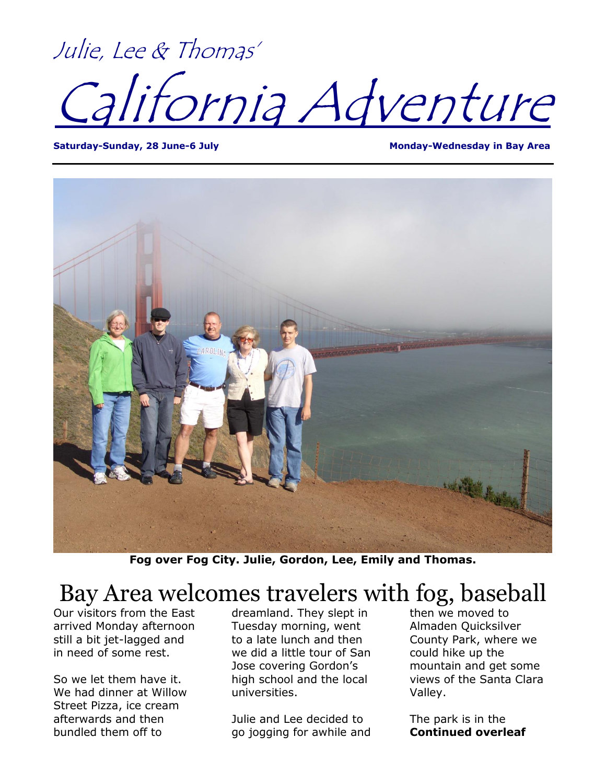Julie, Lee & Thomas' lifornia Adventure

Saturday-Sunday, 28 June-6 July **Monday Area** Monday-Wednesday in Bay Area



**Fog over Fog City. Julie, Gordon, Lee, Emily and Thomas.**

## Bay Area welcomes travelers with fog, baseball

Our visitors from the East arrived Monday afternoon still a bit jet-lagged and in need of some rest.

So we let them have it. We had dinner at Willow Street Pizza, ice cream afterwards and then bundled them off to

dreamland. They slept in Tuesday morning, went to a late lunch and then we did a little tour of San Jose covering Gordon's high school and the local universities.

Julie and Lee decided to go jogging for awhile and then we moved to Almaden Quicksilver County Park, where we could hike up the mountain and get some views of the Santa Clara Valley.

The park is in the **Continued overleaf**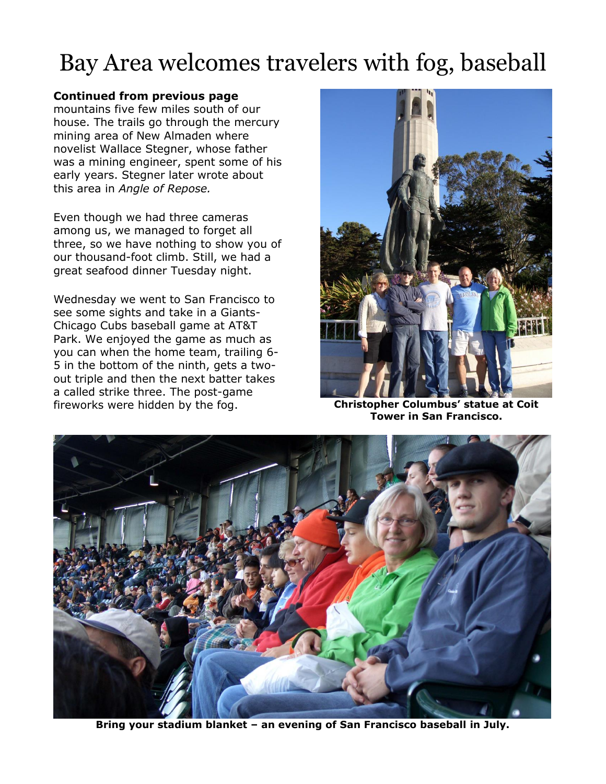## Bay Area welcomes travelers with fog, baseball

## **Continued from previous page**

mountains five few miles south of our house. The trails go through the mercury mining area of New Almaden where novelist Wallace Stegner, whose father was a mining engineer, spent some of his early years. Stegner later wrote about this area in *Angle of Repose.*

Even though we had three cameras among us, we managed to forget all three, so we have nothing to show you of our thousand-foot climb. Still, we had a great seafood dinner Tuesday night.

Wednesday we went to San Francisco to see some sights and take in a Giants-Chicago Cubs baseball game at AT&T Park. We enjoyed the game as much as you can when the home team, trailing 6- 5 in the bottom of the ninth, gets a twoout triple and then the next batter takes a called strike three. The post-game fireworks were hidden by the fog. **Christopher Columbus' statue at Coit** 



**Tower in San Francisco.**



**Bring your stadium blanket – an evening of San Francisco baseball in July.**